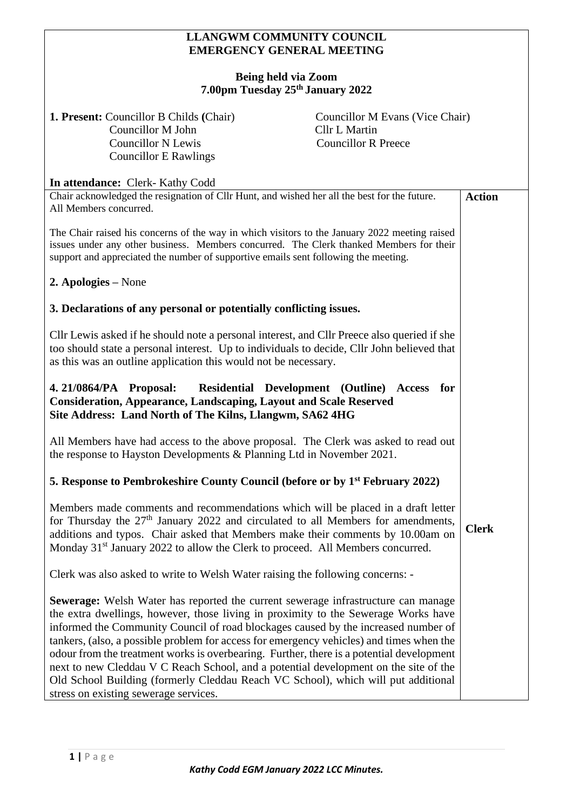## **LLANGWM COMMUNITY COUNCIL EMERGENCY GENERAL MEETING**

## **Being held via Zoom 7.00pm Tuesday 25th January 2022**

| $1.00$ pm Tutsuay 20 January 2022                                                                                                                                                                                                                                                                                                                                                                                                                                                                                                                                                                                                                                           |                                                                                       |               |
|-----------------------------------------------------------------------------------------------------------------------------------------------------------------------------------------------------------------------------------------------------------------------------------------------------------------------------------------------------------------------------------------------------------------------------------------------------------------------------------------------------------------------------------------------------------------------------------------------------------------------------------------------------------------------------|---------------------------------------------------------------------------------------|---------------|
| <b>1. Present:</b> Councillor B Childs (Chair)<br>Councillor M John<br><b>Councillor N Lewis</b><br><b>Councillor E Rawlings</b>                                                                                                                                                                                                                                                                                                                                                                                                                                                                                                                                            | Councillor M Evans (Vice Chair)<br><b>Cllr L Martin</b><br><b>Councillor R Preece</b> |               |
| In attendance: Clerk- Kathy Codd                                                                                                                                                                                                                                                                                                                                                                                                                                                                                                                                                                                                                                            |                                                                                       |               |
| Chair acknowledged the resignation of Cllr Hunt, and wished her all the best for the future.<br>All Members concurred.                                                                                                                                                                                                                                                                                                                                                                                                                                                                                                                                                      |                                                                                       | <b>Action</b> |
| The Chair raised his concerns of the way in which visitors to the January 2022 meeting raised<br>issues under any other business. Members concurred. The Clerk thanked Members for their<br>support and appreciated the number of supportive emails sent following the meeting.                                                                                                                                                                                                                                                                                                                                                                                             |                                                                                       |               |
| 2. Apologies – None                                                                                                                                                                                                                                                                                                                                                                                                                                                                                                                                                                                                                                                         |                                                                                       |               |
| 3. Declarations of any personal or potentially conflicting issues.                                                                                                                                                                                                                                                                                                                                                                                                                                                                                                                                                                                                          |                                                                                       |               |
| Cllr Lewis asked if he should note a personal interest, and Cllr Preece also queried if she<br>too should state a personal interest. Up to individuals to decide, Cllr John believed that<br>as this was an outline application this would not be necessary.                                                                                                                                                                                                                                                                                                                                                                                                                |                                                                                       |               |
| Residential Development (Outline) Access for<br>4. 21/0864/PA Proposal:<br><b>Consideration, Appearance, Landscaping, Layout and Scale Reserved</b><br>Site Address: Land North of The Kilns, Llangwm, SA62 4HG                                                                                                                                                                                                                                                                                                                                                                                                                                                             |                                                                                       |               |
| All Members have had access to the above proposal. The Clerk was asked to read out<br>the response to Hayston Developments & Planning Ltd in November 2021.                                                                                                                                                                                                                                                                                                                                                                                                                                                                                                                 |                                                                                       |               |
| 5. Response to Pembrokeshire County Council (before or by 1 <sup>st</sup> February 2022)                                                                                                                                                                                                                                                                                                                                                                                                                                                                                                                                                                                    |                                                                                       |               |
| Members made comments and recommendations which will be placed in a draft letter<br>for Thursday the 27 <sup>th</sup> January 2022 and circulated to all Members for amendments,<br>additions and typos. Chair asked that Members make their comments by 10.00am on<br>Monday 31 <sup>st</sup> January 2022 to allow the Clerk to proceed. All Members concurred.                                                                                                                                                                                                                                                                                                           |                                                                                       | <b>Clerk</b>  |
| Clerk was also asked to write to Welsh Water raising the following concerns: -                                                                                                                                                                                                                                                                                                                                                                                                                                                                                                                                                                                              |                                                                                       |               |
| Sewerage: Welsh Water has reported the current sewerage infrastructure can manage<br>the extra dwellings, however, those living in proximity to the Sewerage Works have<br>informed the Community Council of road blockages caused by the increased number of<br>tankers, (also, a possible problem for access for emergency vehicles) and times when the<br>odour from the treatment works is overbearing. Further, there is a potential development<br>next to new Cleddau V C Reach School, and a potential development on the site of the<br>Old School Building (formerly Cleddau Reach VC School), which will put additional<br>stress on existing sewerage services. |                                                                                       |               |